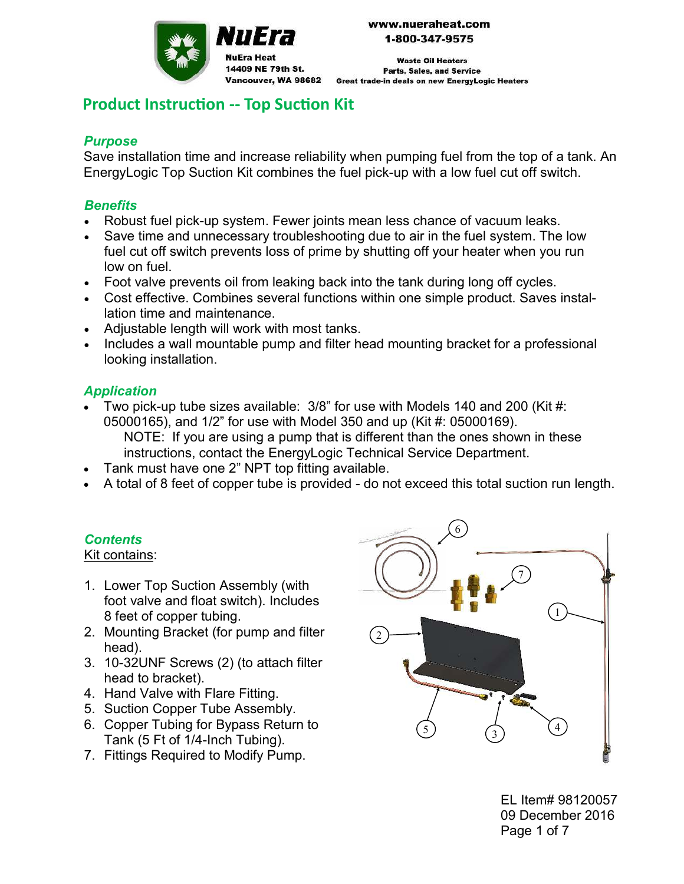

**Waste Oil Heaters Parts, Sales, and Service Great trade-in deals on new EnergyLogic Heaters** 

# **Product Instruction -- Top Suction Kit**

14409 NE 79th St.

Vancouver, WA 98682

# *Purpose*

Save installation time and increase reliability when pumping fuel from the top of a tank. An EnergyLogic Top Suction Kit combines the fuel pick-up with a low fuel cut off switch.

#### *Benefits*

- Robust fuel pick-up system. Fewer joints mean less chance of vacuum leaks.
- Save time and unnecessary troubleshooting due to air in the fuel system. The low fuel cut off switch prevents loss of prime by shutting off your heater when you run low on fuel.
- Foot valve prevents oil from leaking back into the tank during long off cycles.
- Cost effective. Combines several functions within one simple product. Saves installation time and maintenance.
- Adjustable length will work with most tanks.
- Includes a wall mountable pump and filter head mounting bracket for a professional looking installation.

## *Application*

 Two pick-up tube sizes available: 3/8" for use with Models 140 and 200 (Kit #: 05000165), and 1/2" for use with Model 350 and up (Kit #: 05000169). NOTE: If you are using a pump that is different than the ones shown in these

instructions, contact the EnergyLogic Technical Service Department.

- Tank must have one 2" NPT top fitting available.
- A total of 8 feet of copper tube is provided do not exceed this total suction run length.

# *Contents*

#### Kit contains:

- 1. Lower Top Suction Assembly (with foot valve and float switch). Includes 8 feet of copper tubing.
- 2. Mounting Bracket (for pump and filter head).
- 3. 10-32UNF Screws (2) (to attach filter head to bracket).
- 4. Hand Valve with Flare Fitting.
- 5. Suction Copper Tube Assembly.
- 6. Copper Tubing for Bypass Return to Tank (5 Ft of 1/4-Inch Tubing).
- 7. Fittings Required to Modify Pump.



EL Item# 98120057 09 December 2016 Page 1 of 7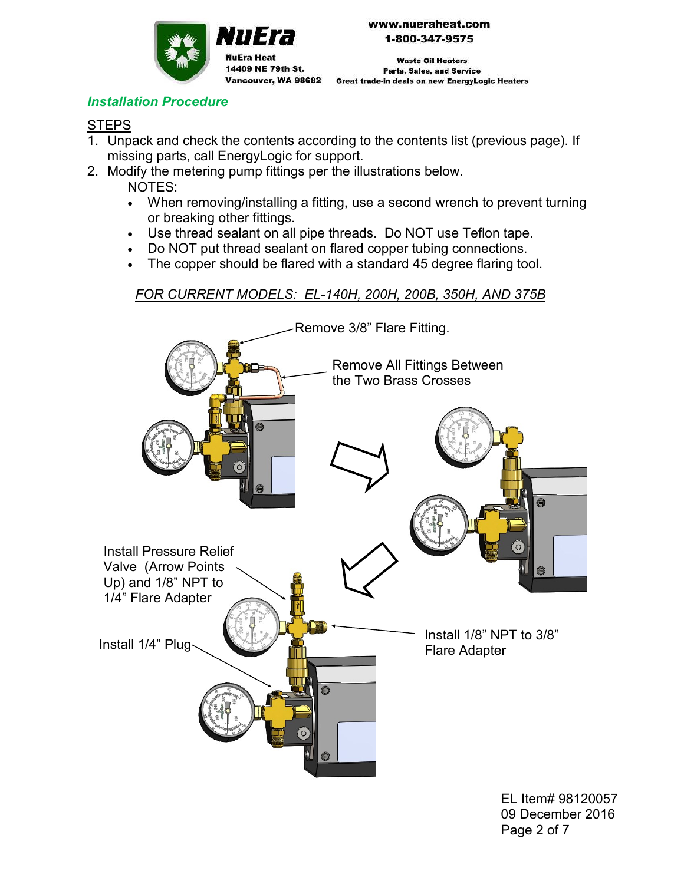

**Waste Oil Heaters Parts, Sales, and Service** Vancouver, WA 98682 Great trade-in deals on new EnergyLogic Heaters

## *Installation Procedure*

## **STEPS**

- 1. Unpack and check the contents according to the contents list (previous page). If missing parts, call EnergyLogic for support.
- 2. Modify the metering pump fittings per the illustrations below. NOTES:

11 E I

14409 NE 79th St.

**NuEra Heat** 

- When removing/installing a fitting, use a second wrench to prevent turning or breaking other fittings.
- Use thread sealant on all pipe threads. Do NOT use Teflon tape.
- Do NOT put thread sealant on flared copper tubing connections.
- The copper should be flared with a standard 45 degree flaring tool.

*FOR CURRENT MODELS: EL-140H, 200H, 200B, 350H, AND 375B*



EL Item# 98120057 09 December 2016 Page 2 of 7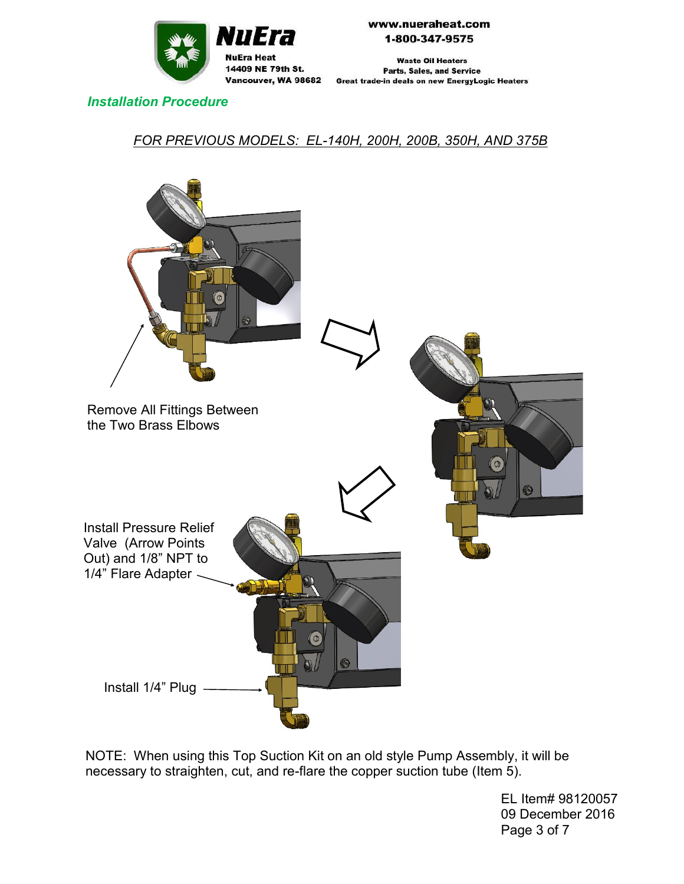

**Waste Oil Heaters Parts, Sales, and Service** Vancouver, WA 98682 Great trade-in deals on new EnergyLogic Heaters

#### *Installation Procedure*

## *FOR PREVIOUS MODELS: EL-140H, 200H, 200B, 350H, AND 375B*



NOTE: When using this Top Suction Kit on an old style Pump Assembly, it will be necessary to straighten, cut, and re-flare the copper suction tube (Item 5).

> EL Item# 98120057 09 December 2016 Page 3 of 7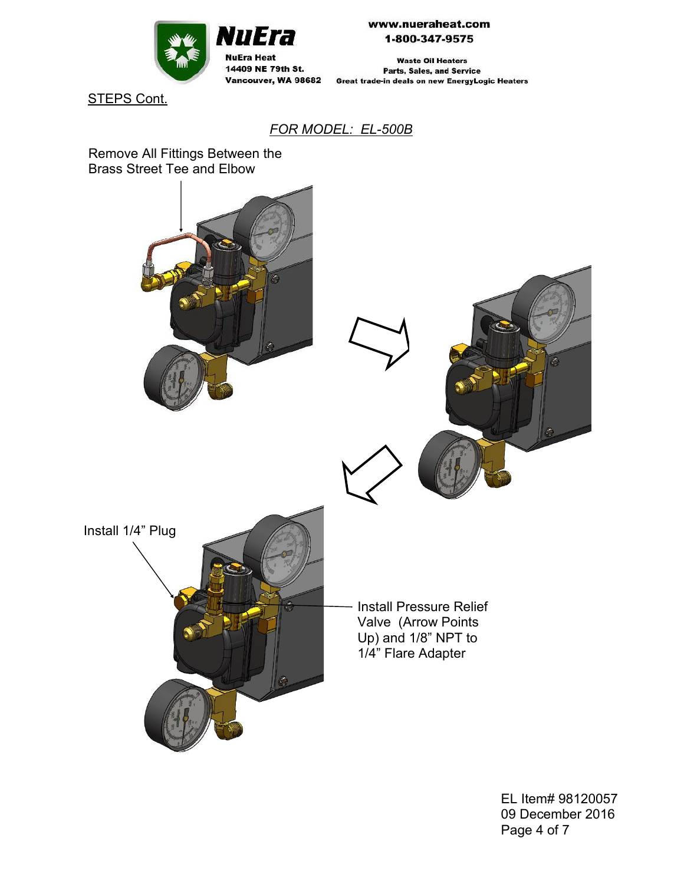

**Waste Oil Heaters Parts, Sales, and Service** Vancouver, WA 98682 Great trade-in deals on new EnergyLogic Heaters

STEPS Cont.

#### *FOR MODEL: EL-500B*

Remove All Fittings Between the Brass Street Tee and Elbow



EL Item# 98120057 09 December 2016 Page 4 of 7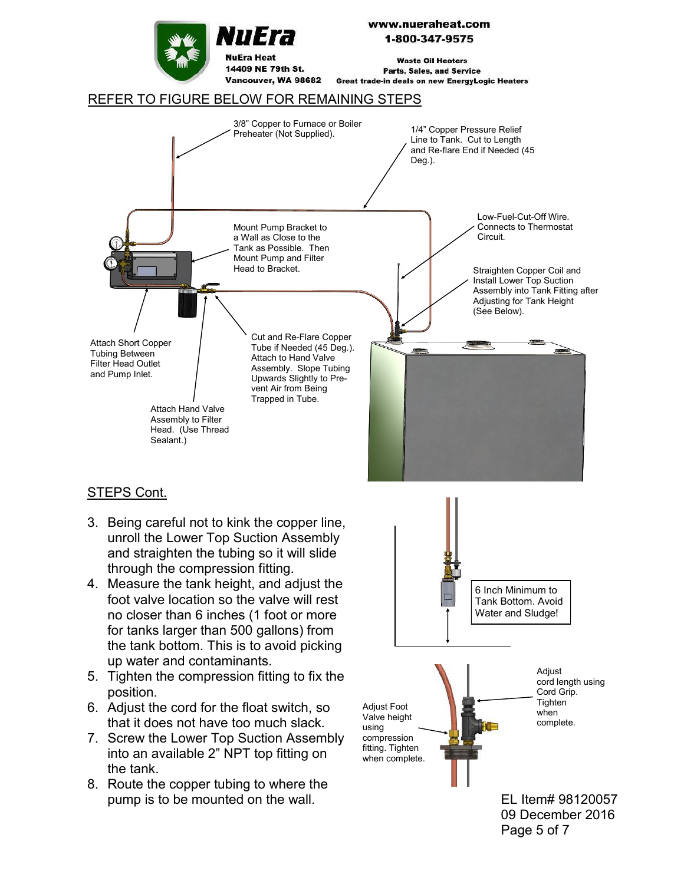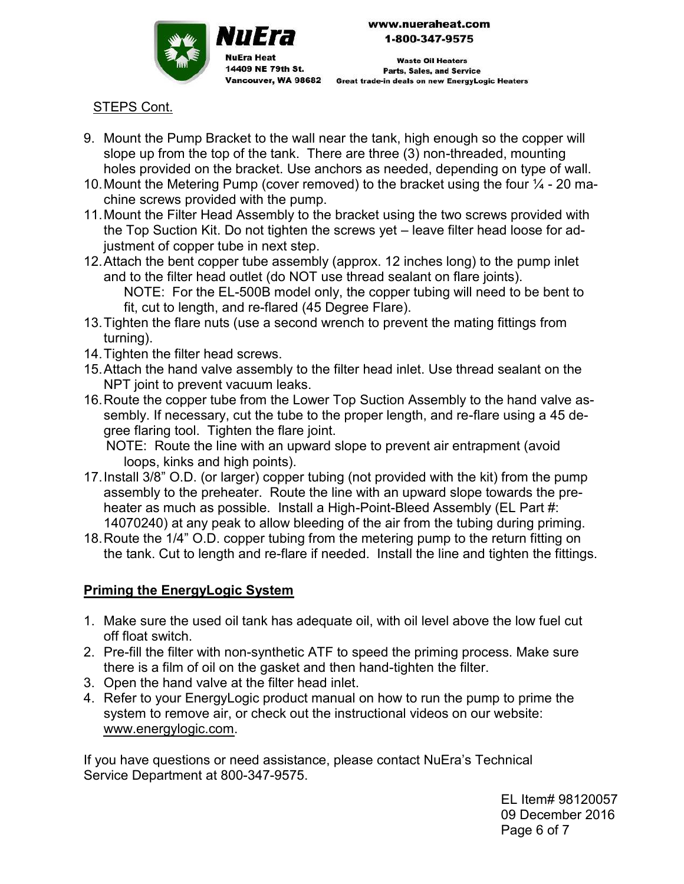

NuEra

14409 NE 79th St.

NuEra Heat

www.nueraheat.com 1-800-347-9575

**Waste Oil Heaters Parts, Sales, and Service** Vancouver, WA 98682 Great trade-in deals on new EnergyLogic Heaters

## STEPS Cont.

- 9. Mount the Pump Bracket to the wall near the tank, high enough so the copper will slope up from the top of the tank. There are three (3) non-threaded, mounting holes provided on the bracket. Use anchors as needed, depending on type of wall.
- 10. Mount the Metering Pump (cover removed) to the bracket using the four  $\frac{1}{4}$  20 machine screws provided with the pump.
- 11.Mount the Filter Head Assembly to the bracket using the two screws provided with the Top Suction Kit. Do not tighten the screws yet – leave filter head loose for adjustment of copper tube in next step.
- 12.Attach the bent copper tube assembly (approx. 12 inches long) to the pump inlet and to the filter head outlet (do NOT use thread sealant on flare joints). NOTE: For the EL-500B model only, the copper tubing will need to be bent to fit, cut to length, and re-flared (45 Degree Flare).
- 13.Tighten the flare nuts (use a second wrench to prevent the mating fittings from turning).
- 14.Tighten the filter head screws.
- 15.Attach the hand valve assembly to the filter head inlet. Use thread sealant on the NPT joint to prevent vacuum leaks.
- 16.Route the copper tube from the Lower Top Suction Assembly to the hand valve assembly. If necessary, cut the tube to the proper length, and re-flare using a 45 degree flaring tool. Tighten the flare joint.

 NOTE: Route the line with an upward slope to prevent air entrapment (avoid loops, kinks and high points).

- 17.Install 3/8" O.D. (or larger) copper tubing (not provided with the kit) from the pump assembly to the preheater. Route the line with an upward slope towards the preheater as much as possible. Install a High-Point-Bleed Assembly (EL Part #: 14070240) at any peak to allow bleeding of the air from the tubing during priming.
- 18.Route the 1/4" O.D. copper tubing from the metering pump to the return fitting on the tank. Cut to length and re-flare if needed. Install the line and tighten the fittings.

# **Priming the EnergyLogic System**

- 1. Make sure the used oil tank has adequate oil, with oil level above the low fuel cut off float switch.
- 2. Pre-fill the filter with non-synthetic ATF to speed the priming process. Make sure there is a film of oil on the gasket and then hand-tighten the filter.
- 3. Open the hand valve at the filter head inlet.
- 4. Refer to your EnergyLogic product manual on how to run the pump to prime the system to remove air, or check out the instructional videos on our website: www.energylogic.com.

If you have questions or need assistance, please contact NuEra's Technical Service Department at 800-347-9575.

> EL Item# 98120057 09 December 2016 Page 6 of 7